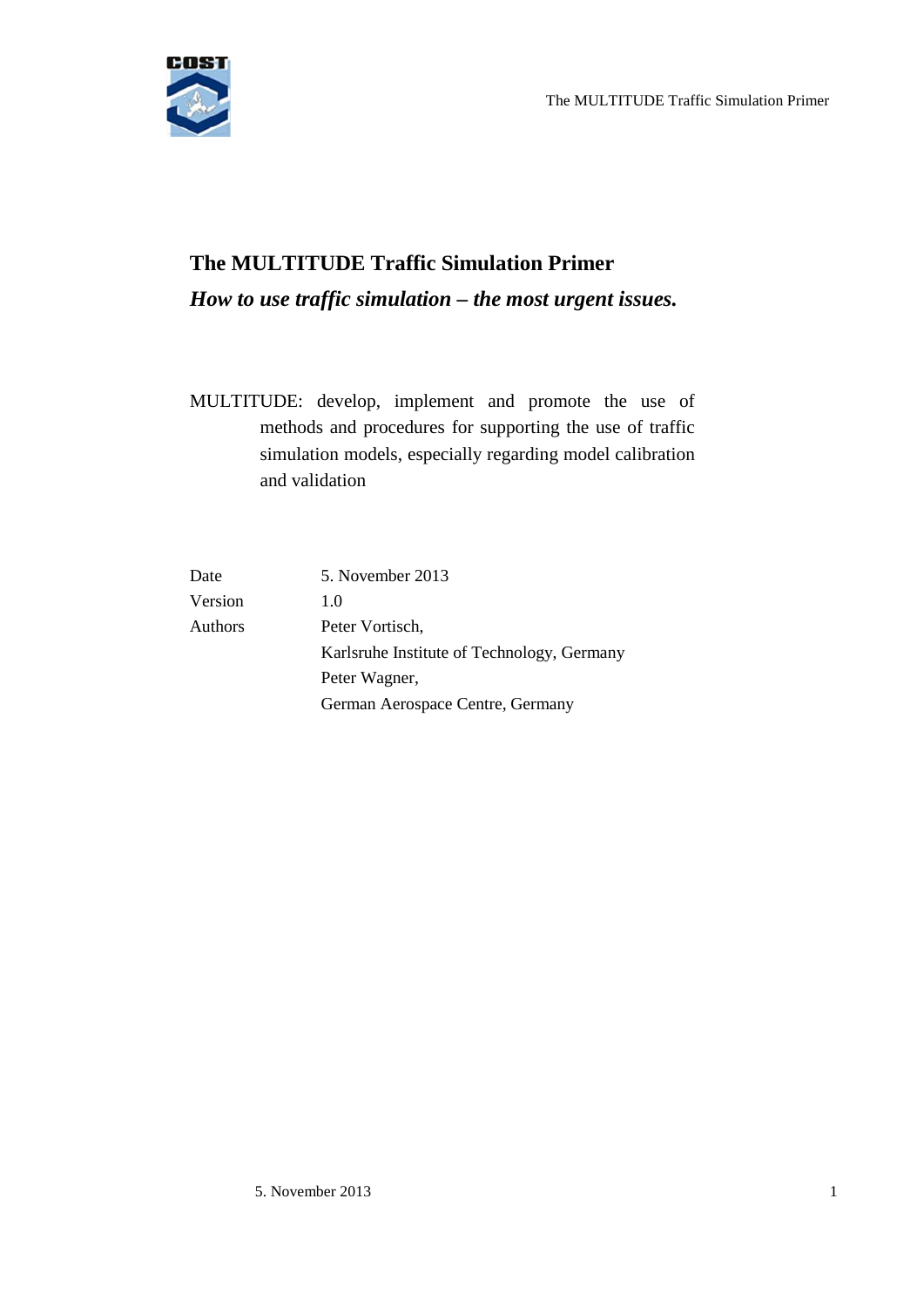

# **The MULTITUDE Traffic Simulation Primer** *How to use traffic simulation – the most urgent issues.*

MULTITUDE: develop, implement and promote the use of methods and procedures for supporting the use of traffic simulation models, especially regarding model calibration and validation

| Date           | 5. November 2013                           |
|----------------|--------------------------------------------|
| Version        | 1.0                                        |
| <b>Authors</b> | Peter Vortisch,                            |
|                | Karlsruhe Institute of Technology, Germany |
|                | Peter Wagner,                              |
|                | German Aerospace Centre, Germany           |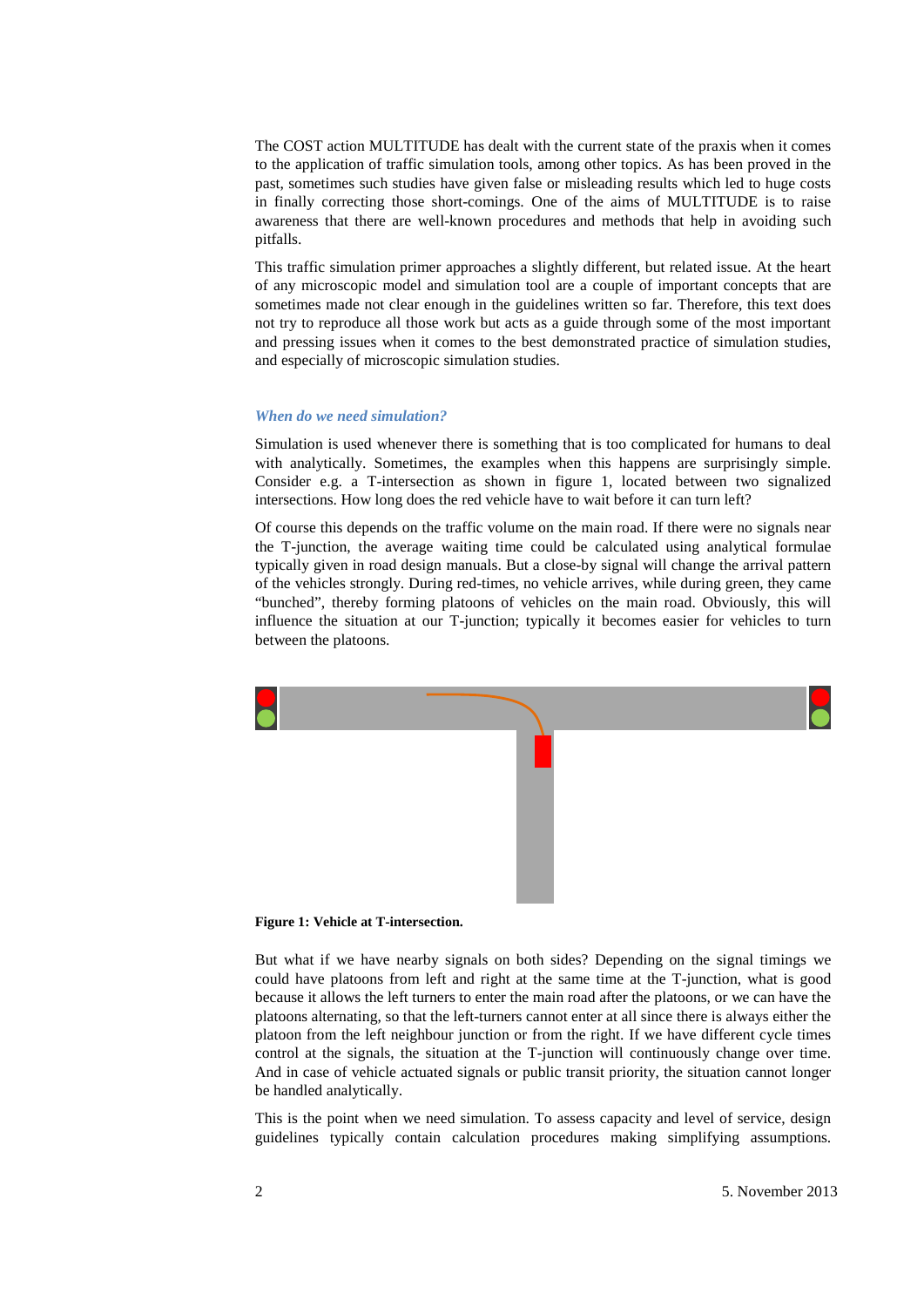The COST action MULTITUDE has dealt with the current state of the praxis when it comes to the application of traffic simulation tools, among other topics. As has been proved in the past, sometimes such studies have given false or misleading results which led to huge costs in finally correcting those short-comings. One of the aims of MULTITUDE is to raise awareness that there are well-known procedures and methods that help in avoiding such pitfalls.

This traffic simulation primer approaches a slightly different, but related issue. At the heart of any microscopic model and simulation tool are a couple of important concepts that are sometimes made not clear enough in the guidelines written so far. Therefore, this text does not try to reproduce all those work but acts as a guide through some of the most important and pressing issues when it comes to the best demonstrated practice of simulation studies, and especially of microscopic simulation studies.

#### *When do we need simulation?*

Simulation is used whenever there is something that is too complicated for humans to deal with analytically. Sometimes, the examples when this happens are surprisingly simple. Consider e.g. a T-intersection as shown in figure 1, located between two signalized intersections. How long does the red vehicle have to wait before it can turn left?

Of course this depends on the traffic volume on the main road. If there were no signals near the T-junction, the average waiting time could be calculated using analytical formulae typically given in road design manuals. But a close-by signal will change the arrival pattern of the vehicles strongly. During red-times, no vehicle arrives, while during green, they came "bunched", thereby forming platoons of vehicles on the main road. Obviously, this will influence the situation at our T-junction; typically it becomes easier for vehicles to turn between the platoons.



#### **Figure 1: Vehicle at T-intersection.**

But what if we have nearby signals on both sides? Depending on the signal timings we could have platoons from left and right at the same time at the T-junction, what is good because it allows the left turners to enter the main road after the platoons, or we can have the platoons alternating, so that the left-turners cannot enter at all since there is always either the platoon from the left neighbour junction or from the right. If we have different cycle times control at the signals, the situation at the T-junction will continuously change over time. And in case of vehicle actuated signals or public transit priority, the situation cannot longer be handled analytically.

This is the point when we need simulation. To assess capacity and level of service, design guidelines typically contain calculation procedures making simplifying assumptions.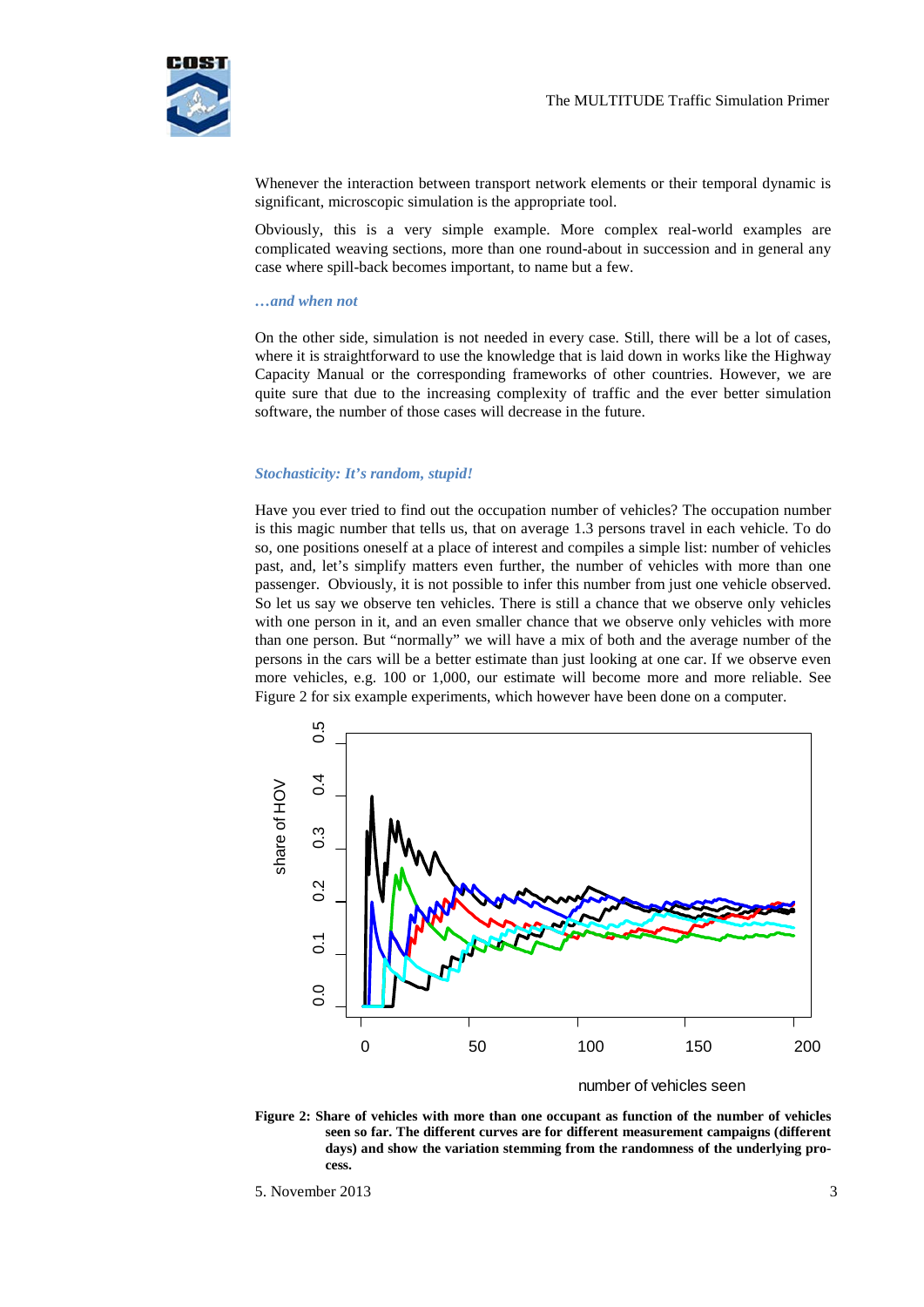

Whenever the interaction between transport network elements or their temporal dynamic is significant, microscopic simulation is the appropriate tool.

Obviously, this is a very simple example. More complex real-world examples are complicated weaving sections, more than one round-about in succession and in general any case where spill-back becomes important, to name but a few.

#### *…and when not*

On the other side, simulation is not needed in every case. Still, there will be a lot of cases, where it is straightforward to use the knowledge that is laid down in works like the Highway Capacity Manual or the corresponding frameworks of other countries. However, we are quite sure that due to the increasing complexity of traffic and the ever better simulation software, the number of those cases will decrease in the future.

#### *Stochasticity: It's random, stupid!*

Have you ever tried to find out the occupation number of vehicles? The occupation number is this magic number that tells us, that on average 1.3 persons travel in each vehicle. To do so, one positions oneself at a place of interest and compiles a simple list: number of vehicles past, and, let's simplify matters even further, the number of vehicles with more than one passenger. Obviously, it is not possible to infer this number from just one vehicle observed. So let us say we observe ten vehicles. There is still a chance that we observe only vehicles with one person in it, and an even smaller chance that we observe only vehicles with more than one person. But "normally" we will have a mix of both and the average number of the persons in the cars will be a better estimate than just looking at one car. If we observe even more vehicles, e.g. 100 or 1,000, our estimate will become more and more reliable. See [Figure 2](#page-2-0) for six example experiments, which however have been done on a computer.



number of vehicles seen

<span id="page-2-0"></span>**Figure 2: Share of vehicles with more than one occupant as function of the number of vehicles seen so far. The different curves are for different measurement campaigns (different days) and show the variation stemming from the randomness of the underlying process.**

<sup>5.</sup> November 2013 3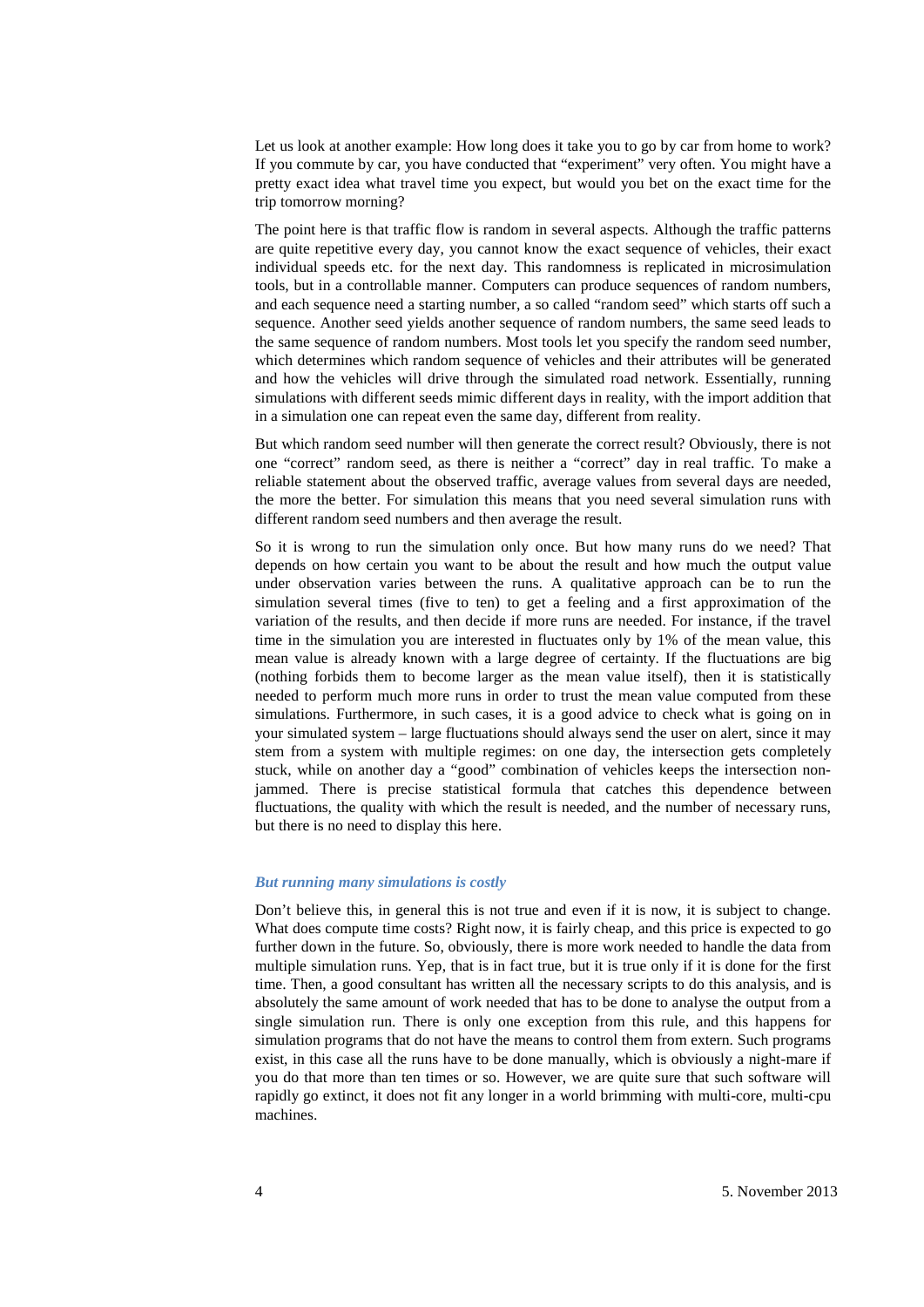Let us look at another example: How long does it take you to go by car from home to work? If you commute by car, you have conducted that "experiment" very often. You might have a pretty exact idea what travel time you expect, but would you bet on the exact time for the trip tomorrow morning?

The point here is that traffic flow is random in several aspects. Although the traffic patterns are quite repetitive every day, you cannot know the exact sequence of vehicles, their exact individual speeds etc. for the next day. This randomness is replicated in microsimulation tools, but in a controllable manner. Computers can produce sequences of random numbers, and each sequence need a starting number, a so called "random seed" which starts off such a sequence. Another seed yields another sequence of random numbers, the same seed leads to the same sequence of random numbers. Most tools let you specify the random seed number, which determines which random sequence of vehicles and their attributes will be generated and how the vehicles will drive through the simulated road network. Essentially, running simulations with different seeds mimic different days in reality, with the import addition that in a simulation one can repeat even the same day, different from reality.

But which random seed number will then generate the correct result? Obviously, there is not one "correct" random seed, as there is neither a "correct" day in real traffic. To make a reliable statement about the observed traffic, average values from several days are needed, the more the better. For simulation this means that you need several simulation runs with different random seed numbers and then average the result.

So it is wrong to run the simulation only once. But how many runs do we need? That depends on how certain you want to be about the result and how much the output value under observation varies between the runs. A qualitative approach can be to run the simulation several times (five to ten) to get a feeling and a first approximation of the variation of the results, and then decide if more runs are needed. For instance, if the travel time in the simulation you are interested in fluctuates only by 1% of the mean value, this mean value is already known with a large degree of certainty. If the fluctuations are big (nothing forbids them to become larger as the mean value itself), then it is statistically needed to perform much more runs in order to trust the mean value computed from these simulations. Furthermore, in such cases, it is a good advice to check what is going on in your simulated system – large fluctuations should always send the user on alert, since it may stem from a system with multiple regimes: on one day, the intersection gets completely stuck, while on another day a "good" combination of vehicles keeps the intersection nonjammed. There is precise statistical formula that catches this dependence between fluctuations, the quality with which the result is needed, and the number of necessary runs, but there is no need to display this here.

#### *But running many simulations is costly*

Don't believe this, in general this is not true and even if it is now, it is subject to change. What does compute time costs? Right now, it is fairly cheap, and this price is expected to go further down in the future. So, obviously, there is more work needed to handle the data from multiple simulation runs. Yep, that is in fact true, but it is true only if it is done for the first time. Then, a good consultant has written all the necessary scripts to do this analysis, and is absolutely the same amount of work needed that has to be done to analyse the output from a single simulation run. There is only one exception from this rule, and this happens for simulation programs that do not have the means to control them from extern. Such programs exist, in this case all the runs have to be done manually, which is obviously a night-mare if you do that more than ten times or so. However, we are quite sure that such software will rapidly go extinct, it does not fit any longer in a world brimming with multi-core, multi-cpu machines.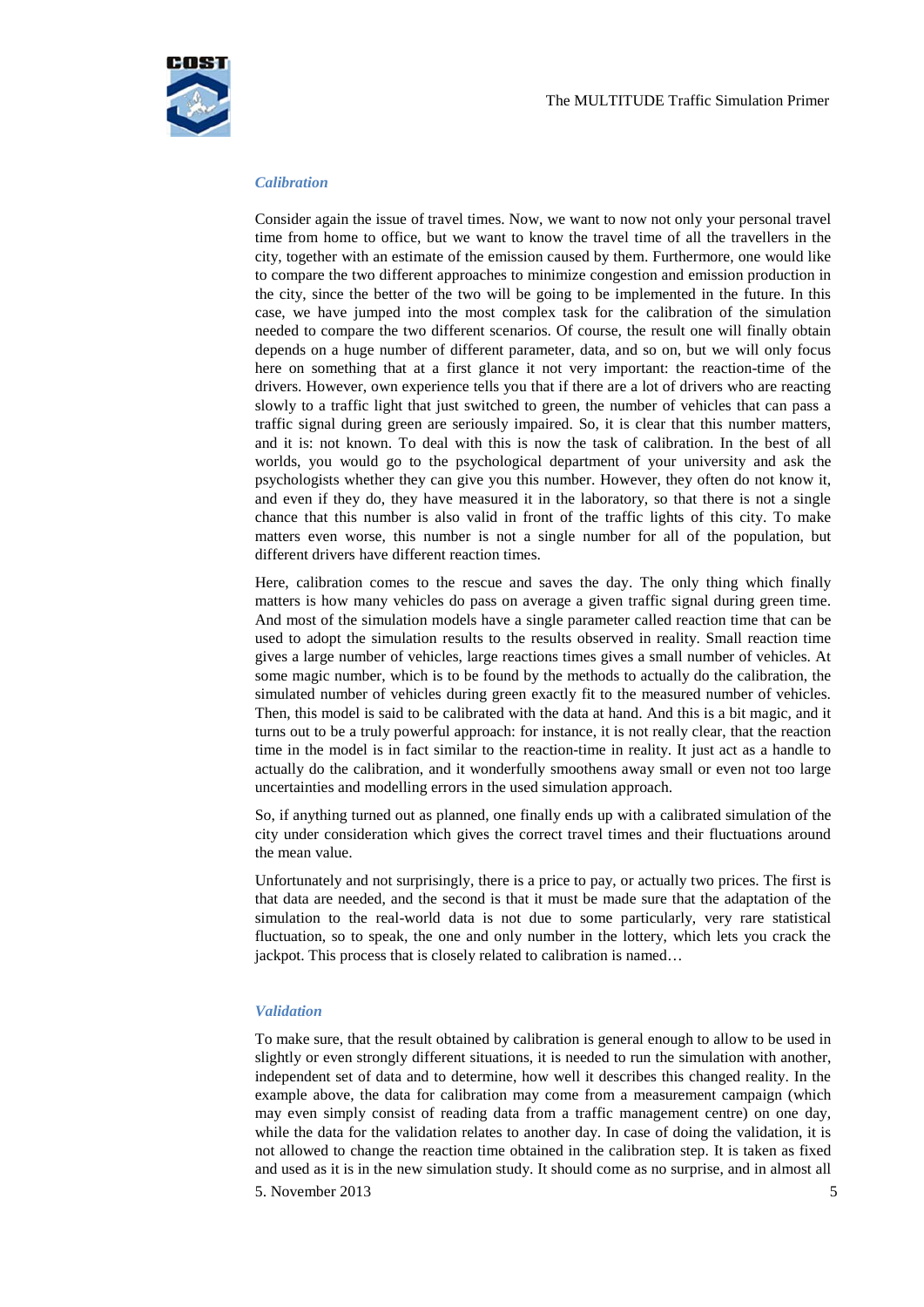

## *Calibration*

Consider again the issue of travel times. Now, we want to now not only your personal travel time from home to office, but we want to know the travel time of all the travellers in the city, together with an estimate of the emission caused by them. Furthermore, one would like to compare the two different approaches to minimize congestion and emission production in the city, since the better of the two will be going to be implemented in the future. In this case, we have jumped into the most complex task for the calibration of the simulation needed to compare the two different scenarios. Of course, the result one will finally obtain depends on a huge number of different parameter, data, and so on, but we will only focus here on something that at a first glance it not very important: the reaction-time of the drivers. However, own experience tells you that if there are a lot of drivers who are reacting slowly to a traffic light that just switched to green, the number of vehicles that can pass a traffic signal during green are seriously impaired. So, it is clear that this number matters, and it is: not known. To deal with this is now the task of calibration. In the best of all worlds, you would go to the psychological department of your university and ask the psychologists whether they can give you this number. However, they often do not know it, and even if they do, they have measured it in the laboratory, so that there is not a single chance that this number is also valid in front of the traffic lights of this city. To make matters even worse, this number is not a single number for all of the population, but different drivers have different reaction times.

Here, calibration comes to the rescue and saves the day. The only thing which finally matters is how many vehicles do pass on average a given traffic signal during green time. And most of the simulation models have a single parameter called reaction time that can be used to adopt the simulation results to the results observed in reality. Small reaction time gives a large number of vehicles, large reactions times gives a small number of vehicles. At some magic number, which is to be found by the methods to actually do the calibration, the simulated number of vehicles during green exactly fit to the measured number of vehicles. Then, this model is said to be calibrated with the data at hand. And this is a bit magic, and it turns out to be a truly powerful approach: for instance, it is not really clear, that the reaction time in the model is in fact similar to the reaction-time in reality. It just act as a handle to actually do the calibration, and it wonderfully smoothens away small or even not too large uncertainties and modelling errors in the used simulation approach.

So, if anything turned out as planned, one finally ends up with a calibrated simulation of the city under consideration which gives the correct travel times and their fluctuations around the mean value.

Unfortunately and not surprisingly, there is a price to pay, or actually two prices. The first is that data are needed, and the second is that it must be made sure that the adaptation of the simulation to the real-world data is not due to some particularly, very rare statistical fluctuation, so to speak, the one and only number in the lottery, which lets you crack the jackpot. This process that is closely related to calibration is named…

## *Validation*

5. November 2013  $\overline{5}$ To make sure, that the result obtained by calibration is general enough to allow to be used in slightly or even strongly different situations, it is needed to run the simulation with another, independent set of data and to determine, how well it describes this changed reality. In the example above, the data for calibration may come from a measurement campaign (which may even simply consist of reading data from a traffic management centre) on one day, while the data for the validation relates to another day. In case of doing the validation, it is not allowed to change the reaction time obtained in the calibration step. It is taken as fixed and used as it is in the new simulation study. It should come as no surprise, and in almost all